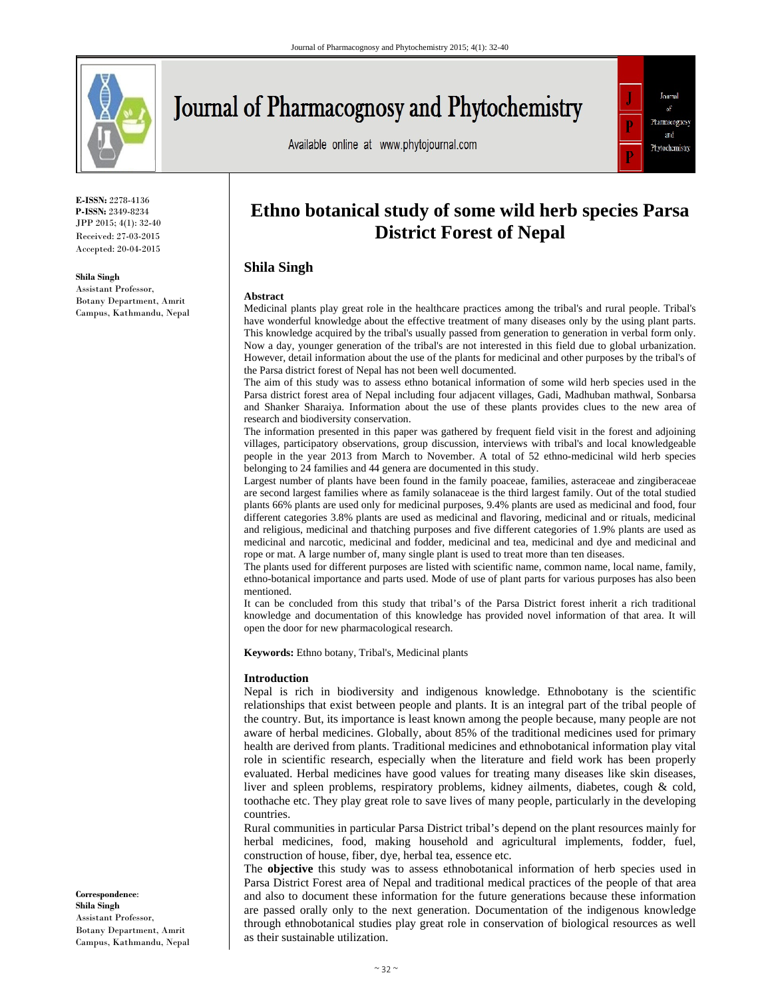

# **Journal of Pharmacognosy and Phytochemistry**

Available online at www.phytojournal.com



**E-ISSN:** 2278-4136 **P-ISSN:** 2349-8234 JPP 2015; 4(1): 32-40 Received: 27-03-2015 Accepted: 20-04-2015

#### **Shila Singh**

Assistant Professor, Botany Department, Amrit Campus, Kathmandu, Nepal

# **Ethno botanical study of some wild herb species Parsa District Forest of Nepal**

# **Shila Singh**

#### **Abstract**

Medicinal plants play great role in the healthcare practices among the tribal's and rural people. Tribal's have wonderful knowledge about the effective treatment of many diseases only by the using plant parts. This knowledge acquired by the tribal's usually passed from generation to generation in verbal form only. Now a day, younger generation of the tribal's are not interested in this field due to global urbanization. However, detail information about the use of the plants for medicinal and other purposes by the tribal's of the Parsa district forest of Nepal has not been well documented.

The aim of this study was to assess ethno botanical information of some wild herb species used in the Parsa district forest area of Nepal including four adjacent villages, Gadi, Madhuban mathwal, Sonbarsa and Shanker Sharaiya. Information about the use of these plants provides clues to the new area of research and biodiversity conservation.

The information presented in this paper was gathered by frequent field visit in the forest and adjoining villages, participatory observations, group discussion, interviews with tribal's and local knowledgeable people in the year 2013 from March to November. A total of 52 ethno-medicinal wild herb species belonging to 24 families and 44 genera are documented in this study.

Largest number of plants have been found in the family poaceae, families, asteraceae and zingiberaceae are second largest families where as family solanaceae is the third largest family. Out of the total studied plants 66% plants are used only for medicinal purposes, 9.4% plants are used as medicinal and food, four different categories 3.8% plants are used as medicinal and flavoring, medicinal and or rituals, medicinal and religious, medicinal and thatching purposes and five different categories of 1.9% plants are used as medicinal and narcotic, medicinal and fodder, medicinal and tea, medicinal and dye and medicinal and rope or mat. A large number of, many single plant is used to treat more than ten diseases.

The plants used for different purposes are listed with scientific name, common name, local name, family, ethno-botanical importance and parts used. Mode of use of plant parts for various purposes has also been mentioned.

It can be concluded from this study that tribal's of the Parsa District forest inherit a rich traditional knowledge and documentation of this knowledge has provided novel information of that area. It will open the door for new pharmacological research.

**Keywords:** Ethno botany, Tribal's, Medicinal plants

#### **Introduction**

Nepal is rich in biodiversity and indigenous knowledge. Ethnobotany is the scientific relationships that exist between people and plants. It is an integral part of the tribal people of the country. But, its importance is least known among the people because, many people are not aware of herbal medicines. Globally, about 85% of the traditional medicines used for primary health are derived from plants. Traditional medicines and ethnobotanical information play vital role in scientific research, especially when the literature and field work has been properly evaluated. Herbal medicines have good values for treating many diseases like skin diseases, liver and spleen problems, respiratory problems, kidney ailments, diabetes, cough & cold, toothache etc. They play great role to save lives of many people, particularly in the developing countries.

Rural communities in particular Parsa District tribal's depend on the plant resources mainly for herbal medicines, food, making household and agricultural implements, fodder, fuel, construction of house, fiber, dye, herbal tea, essence etc.

The **objective** this study was to assess ethnobotanical information of herb species used in Parsa District Forest area of Nepal and traditional medical practices of the people of that area and also to document these information for the future generations because these information are passed orally only to the next generation. Documentation of the indigenous knowledge through ethnobotanical studies play great role in conservation of biological resources as well as their sustainable utilization.

**Correspondence**: **Shila Singh** Assistant Professor, Botany Department, Amrit Campus, Kathmandu, Nepal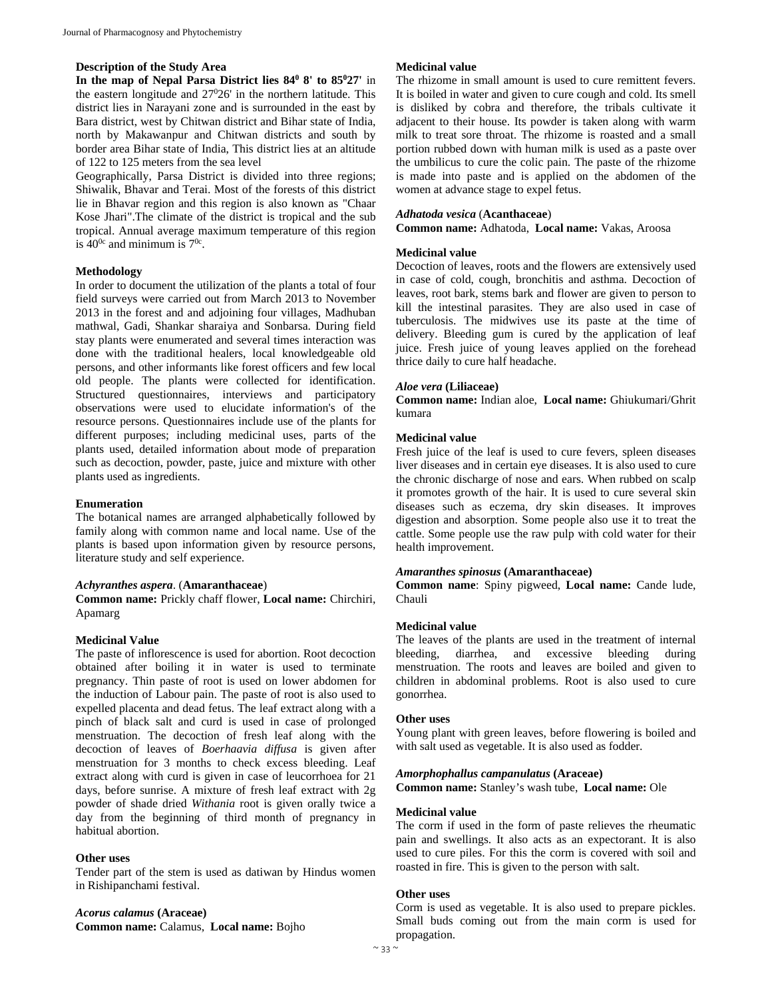# **Description of the Study Area**

In the map of Nepal Parsa District lies  $84^{\circ}$  8' to  $85^{\circ}27'$  in the eastern longitude and 27<sup>0</sup>26' in the northern latitude. This district lies in Narayani zone and is surrounded in the east by Bara district, west by Chitwan district and Bihar state of India, north by Makawanpur and Chitwan districts and south by border area Bihar state of India, This district lies at an altitude of 122 to 125 meters from the sea level

Geographically, Parsa District is divided into three regions; Shiwalik, Bhavar and Terai. Most of the forests of this district lie in Bhavar region and this region is also known as "Chaar Kose Jhari".The climate of the district is tropical and the sub tropical. Annual average maximum temperature of this region is  $40^{\circ}$  and minimum is  $7^{\circ}$ .

#### **Methodology**

In order to document the utilization of the plants a total of four field surveys were carried out from March 2013 to November 2013 in the forest and and adjoining four villages, Madhuban mathwal, Gadi, Shankar sharaiya and Sonbarsa. During field stay plants were enumerated and several times interaction was done with the traditional healers, local knowledgeable old persons, and other informants like forest officers and few local old people. The plants were collected for identification. Structured questionnaires, interviews and participatory observations were used to elucidate information's of the resource persons. Questionnaires include use of the plants for different purposes; including medicinal uses, parts of the plants used, detailed information about mode of preparation such as decoction, powder, paste, juice and mixture with other plants used as ingredients.

#### **Enumeration**

The botanical names are arranged alphabetically followed by family along with common name and local name. Use of the plants is based upon information given by resource persons, literature study and self experience.

#### *Achyranthes aspera*. (**Amaranthaceae**)

**Common name:** Prickly chaff flower, **Local name:** Chirchiri, Apamarg

#### **Medicinal Value**

The paste of inflorescence is used for abortion. Root decoction obtained after boiling it in water is used to terminate pregnancy. Thin paste of root is used on lower abdomen for the induction of Labour pain. The paste of root is also used to expelled placenta and dead fetus. The leaf extract along with a pinch of black salt and curd is used in case of prolonged menstruation. The decoction of fresh leaf along with the decoction of leaves of *Boerhaavia diffusa* is given after menstruation for 3 months to check excess bleeding. Leaf extract along with curd is given in case of leucorrhoea for 21 days, before sunrise. A mixture of fresh leaf extract with 2g powder of shade dried *Withania* root is given orally twice a day from the beginning of third month of pregnancy in habitual abortion.

#### **Other uses**

Tender part of the stem is used as datiwan by Hindus women in Rishipanchami festival.

*Acorus calamus* **(Araceae) Common name:** Calamus, **Local name:** Bojho

#### **Medicinal value**

The rhizome in small amount is used to cure remittent fevers. It is boiled in water and given to cure cough and cold. Its smell is disliked by cobra and therefore, the tribals cultivate it adjacent to their house. Its powder is taken along with warm milk to treat sore throat. The rhizome is roasted and a small portion rubbed down with human milk is used as a paste over the umbilicus to cure the colic pain. The paste of the rhizome is made into paste and is applied on the abdomen of the women at advance stage to expel fetus.

### *Adhatoda vesica* (**Acanthaceae**)

**Common name:** Adhatoda, **Local name:** Vakas, Aroosa

#### **Medicinal value**

Decoction of leaves, roots and the flowers are extensively used in case of cold, cough, bronchitis and asthma. Decoction of leaves, root bark, stems bark and flower are given to person to kill the intestinal parasites. They are also used in case of tuberculosis. The midwives use its paste at the time of delivery. Bleeding gum is cured by the application of leaf juice. Fresh juice of young leaves applied on the forehead thrice daily to cure half headache.

#### *Aloe vera* **(Liliaceae)**

**Common name:** Indian aloe, **Local name:** Ghiukumari/Ghrit kumara

# **Medicinal value**

Fresh juice of the leaf is used to cure fevers, spleen diseases liver diseases and in certain eye diseases. It is also used to cure the chronic discharge of nose and ears. When rubbed on scalp it promotes growth of the hair. It is used to cure several skin diseases such as eczema, dry skin diseases. It improves digestion and absorption. Some people also use it to treat the cattle. Some people use the raw pulp with cold water for their health improvement.

#### *Amaranthes spinosus* **(Amaranthaceae)**

**Common name**: Spiny pigweed, **Local name:** Cande lude, Chauli

# **Medicinal value**

The leaves of the plants are used in the treatment of internal bleeding, diarrhea, and excessive bleeding during menstruation. The roots and leaves are boiled and given to children in abdominal problems. Root is also used to cure gonorrhea.

#### **Other uses**

Young plant with green leaves, before flowering is boiled and with salt used as vegetable. It is also used as fodder.

#### *Amorphophallus campanulatus* **(Araceae)**

**Common name:** Stanley's wash tube, **Local name:** Ole

#### **Medicinal value**

The corm if used in the form of paste relieves the rheumatic pain and swellings. It also acts as an expectorant. It is also used to cure piles. For this the corm is covered with soil and roasted in fire. This is given to the person with salt.

#### **Other uses**

Corm is used as vegetable. It is also used to prepare pickles. Small buds coming out from the main corm is used for propagation.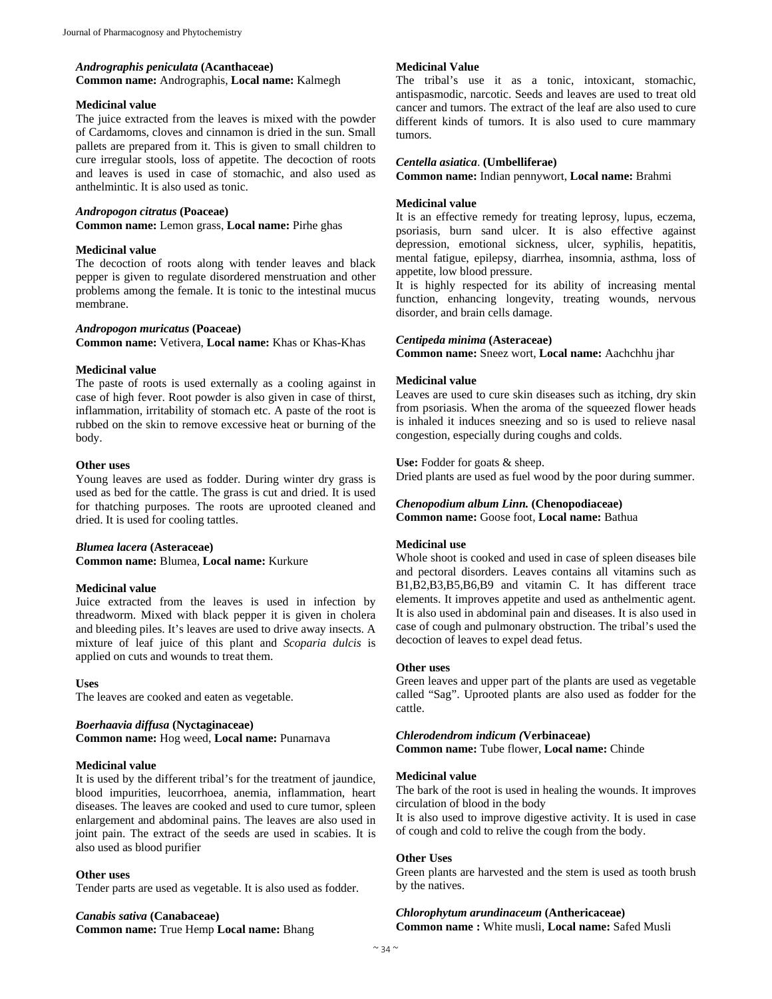#### *Andrographis peniculata* **(Acanthaceae) Common name:** Andrographis, **Local name:** Kalmegh

#### **Medicinal value**

The juice extracted from the leaves is mixed with the powder of Cardamoms, cloves and cinnamon is dried in the sun. Small pallets are prepared from it. This is given to small children to cure irregular stools, loss of appetite. The decoction of roots and leaves is used in case of stomachic, and also used as anthelmintic. It is also used as tonic.

#### *Andropogon citratus* **(Poaceae)**

**Common name:** Lemon grass, **Local name:** Pirhe ghas

### **Medicinal value**

The decoction of roots along with tender leaves and black pepper is given to regulate disordered menstruation and other problems among the female. It is tonic to the intestinal mucus membrane.

#### *Andropogon muricatus* **(Poaceae)**

**Common name:** Vetivera, **Local name:** Khas or Khas-Khas

#### **Medicinal value**

The paste of roots is used externally as a cooling against in case of high fever. Root powder is also given in case of thirst, inflammation, irritability of stomach etc. A paste of the root is rubbed on the skin to remove excessive heat or burning of the body.

#### **Other uses**

Young leaves are used as fodder. During winter dry grass is used as bed for the cattle. The grass is cut and dried. It is used for thatching purposes. The roots are uprooted cleaned and dried. It is used for cooling tattles.

#### *Blumea lacera* **(Asteraceae) Common name:** Blumea, **Local name:** Kurkure

#### **Medicinal value**

Juice extracted from the leaves is used in infection by threadworm. Mixed with black pepper it is given in cholera and bleeding piles. It's leaves are used to drive away insects. A mixture of leaf juice of this plant and *Scoparia dulcis* is applied on cuts and wounds to treat them.

#### **Uses**

The leaves are cooked and eaten as vegetable.

# *Boerhaavia diffusa* **(Nyctaginaceae)**

**Common name:** Hog weed, **Local name:** Punarnava

#### **Medicinal value**

It is used by the different tribal's for the treatment of jaundice, blood impurities, leucorrhoea, anemia, inflammation, heart diseases. The leaves are cooked and used to cure tumor, spleen enlargement and abdominal pains. The leaves are also used in joint pain. The extract of the seeds are used in scabies. It is also used as blood purifier

#### **Other uses**

Tender parts are used as vegetable. It is also used as fodder.

### *Canabis sativa* **(Canabaceae) Common name:** True Hemp **Local name:** Bhang

#### **Medicinal Value**

The tribal's use it as a tonic, intoxicant, stomachic, antispasmodic, narcotic. Seeds and leaves are used to treat old cancer and tumors. The extract of the leaf are also used to cure different kinds of tumors. It is also used to cure mammary tumors.

#### *Centella asiatica*. **(Umbelliferae)**

**Common name:** Indian pennywort, **Local name:** Brahmi

#### **Medicinal value**

It is an effective remedy for treating leprosy, lupus, eczema, psoriasis, burn sand ulcer. It is also effective against depression, emotional sickness, ulcer, syphilis, hepatitis, mental fatigue, epilepsy, diarrhea, insomnia, asthma, loss of appetite, low blood pressure.

It is highly respected for its ability of increasing mental function, enhancing longevity, treating wounds, nervous disorder, and brain cells damage.

#### *Centipeda minima* **(Asteraceae)**

**Common name:** Sneez wort, **Local name:** Aachchhu jhar

#### **Medicinal value**

Leaves are used to cure skin diseases such as itching, dry skin from psoriasis. When the aroma of the squeezed flower heads is inhaled it induces sneezing and so is used to relieve nasal congestion, especially during coughs and colds.

**Use:** Fodder for goats & sheep.

Dried plants are used as fuel wood by the poor during summer.

#### *Chenopodium album Linn.* **(Chenopodiaceae) Common name:** Goose foot, **Local name:** Bathua

# **Medicinal use**

Whole shoot is cooked and used in case of spleen diseases bile and pectoral disorders. Leaves contains all vitamins such as B1,B2,B3,B5,B6,B9 and vitamin C. It has different trace elements. It improves appetite and used as anthelmentic agent. It is also used in abdominal pain and diseases. It is also used in case of cough and pulmonary obstruction. The tribal's used the decoction of leaves to expel dead fetus.

#### **Other uses**

Green leaves and upper part of the plants are used as vegetable called "Sag". Uprooted plants are also used as fodder for the cattle.

#### *Chlerodendrom indicum (***Verbinaceae)**

**Common name:** Tube flower, **Local name:** Chinde

#### **Medicinal value**

The bark of the root is used in healing the wounds. It improves circulation of blood in the body

It is also used to improve digestive activity. It is used in case of cough and cold to relive the cough from the body.

#### **Other Uses**

Green plants are harvested and the stem is used as tooth brush by the natives.

# *Chlorophytum arundinaceum* **(Anthericaceae)**

**Common name :** White musli, **Local name:** Safed Musli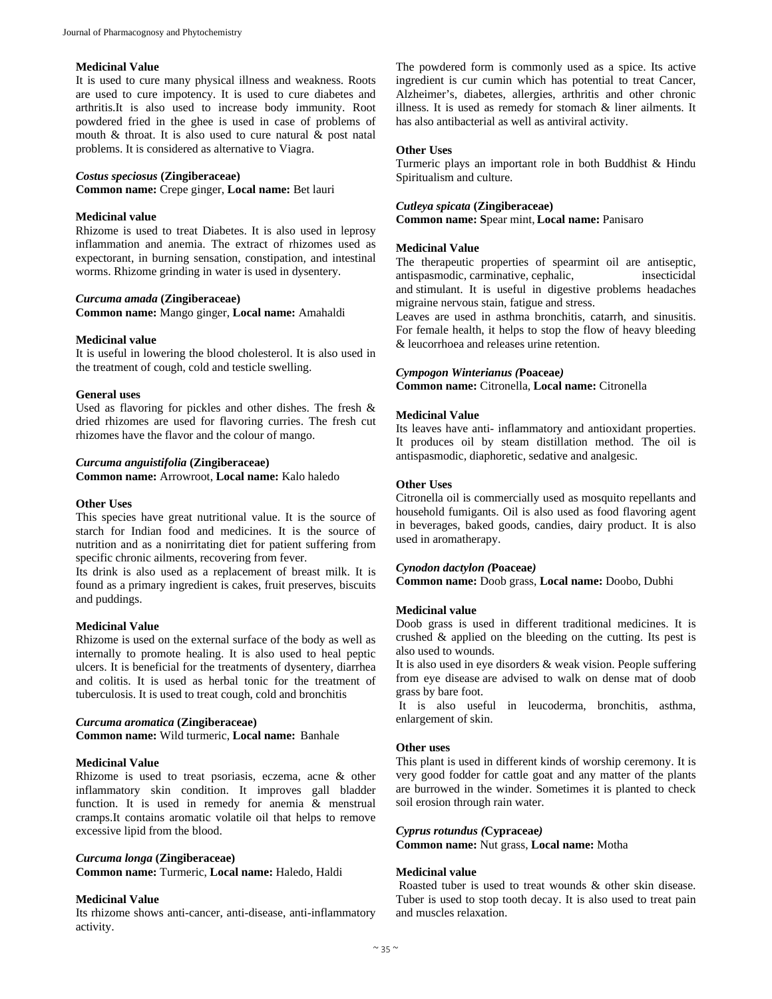#### **Medicinal Value**

It is used to cure many physical illness and weakness. Roots are used to cure impotency. It is used to cure diabetes and arthritis.It is also used to increase body immunity. Root powdered fried in the ghee is used in case of problems of mouth  $\&$  throat. It is also used to cure natural  $\&$  post natal problems. It is considered as alternative to Viagra.

#### *Costus speciosus* **(Zingiberaceae)**

**Common name:** Crepe ginger, **Local name:** Bet lauri

#### **Medicinal value**

Rhizome is used to treat Diabetes. It is also used in leprosy inflammation and anemia. The extract of rhizomes used as expectorant, in burning sensation, constipation, and intestinal worms. Rhizome grinding in water is used in dysentery.

#### *Curcuma amada* **(Zingiberaceae)**

**Common name:** Mango ginger, **Local name:** Amahaldi

# **Medicinal value**

It is useful in lowering the blood cholesterol. It is also used in the treatment of cough, cold and testicle swelling.

#### **General uses**

Used as flavoring for pickles and other dishes. The fresh & dried rhizomes are used for flavoring curries. The fresh cut rhizomes have the flavor and the colour of mango.

#### *Curcuma anguistifolia* **(Zingiberaceae)**

**Common name:** Arrowroot, **Local name:** Kalo haledo

#### **Other Uses**

This species have great nutritional value. It is the source of starch for Indian food and medicines. It is the source of nutrition and as a nonirritating diet for patient suffering from specific chronic ailments, recovering from fever.

Its drink is also used as a replacement of breast milk. It is found as a primary ingredient is cakes, fruit preserves, biscuits and puddings.

#### **Medicinal Value**

Rhizome is used on the external surface of the body as well as internally to promote healing. It is also used to heal peptic ulcers. It is beneficial for the treatments of dysentery, diarrhea and colitis. It is used as herbal tonic for the treatment of tuberculosis. It is used to treat cough, cold and bronchitis

#### *Curcuma aromatica* **(Zingiberaceae)**

**Common name:** Wild turmeric, **Local name:** Banhale

# **Medicinal Value**

Rhizome is used to treat psoriasis, eczema, acne & other inflammatory skin condition. It improves gall bladder function. It is used in remedy for anemia & menstrual cramps.It contains aromatic volatile oil that helps to remove excessive lipid from the blood.

#### *Curcuma longa* **(Zingiberaceae)**

**Common name:** Turmeric, **Local name:** Haledo, Haldi

#### **Medicinal Value**

Its rhizome shows anti-cancer, anti-disease, anti-inflammatory activity.

The powdered form is commonly used as a spice. Its active ingredient is cur cumin which has potential to treat Cancer, Alzheimer's, diabetes, allergies, arthritis and other chronic illness. It is used as remedy for stomach & liner ailments. It has also antibacterial as well as antiviral activity.

# **Other Uses**

Turmeric plays an important role in both Buddhist & Hindu Spiritualism and culture.

#### *Cutleya spicata* **(Zingiberaceae)**

**Common name: S**pear mint, **Local name:** Panisaro

#### **Medicinal Value**

The therapeutic properties of spearmint oil are antiseptic, antispasmodic, carminative, cephalic, insecticidal and stimulant. It is useful in digestive problems headaches migraine nervous stain, fatigue and stress.

Leaves are used in asthma bronchitis, catarrh, and sinusitis. For female health, it helps to stop the flow of heavy bleeding & leucorrhoea and releases urine retention.

#### *Cympogon Winterianus (***Poaceae***)*

**Common name:** Citronella, **Local name:** Citronella

# **Medicinal Value**

Its leaves have anti- inflammatory and antioxidant properties. It produces oil by steam distillation method. The oil is antispasmodic, diaphoretic, sedative and analgesic.

# **Other Uses**

Citronella oil is commercially used as mosquito repellants and household fumigants. Oil is also used as food flavoring agent in beverages, baked goods, candies, dairy product. It is also used in aromatherapy.

#### *Cynodon dactylon (***Poaceae***)*

**Common name:** Doob grass, **Local name:** Doobo, Dubhi

#### **Medicinal value**

Doob grass is used in different traditional medicines. It is crushed & applied on the bleeding on the cutting. Its pest is also used to wounds.

It is also used in eye disorders & weak vision. People suffering from eye disease are advised to walk on dense mat of doob grass by bare foot.

 It is also useful in leucoderma, bronchitis, asthma, enlargement of skin.

# **Other uses**

This plant is used in different kinds of worship ceremony. It is very good fodder for cattle goat and any matter of the plants are burrowed in the winder. Sometimes it is planted to check soil erosion through rain water.

#### *Cyprus rotundus (***Cypraceae***)*

**Common name:** Nut grass, **Local name:** Motha

#### **Medicinal value**

 Roasted tuber is used to treat wounds & other skin disease. Tuber is used to stop tooth decay. It is also used to treat pain and muscles relaxation.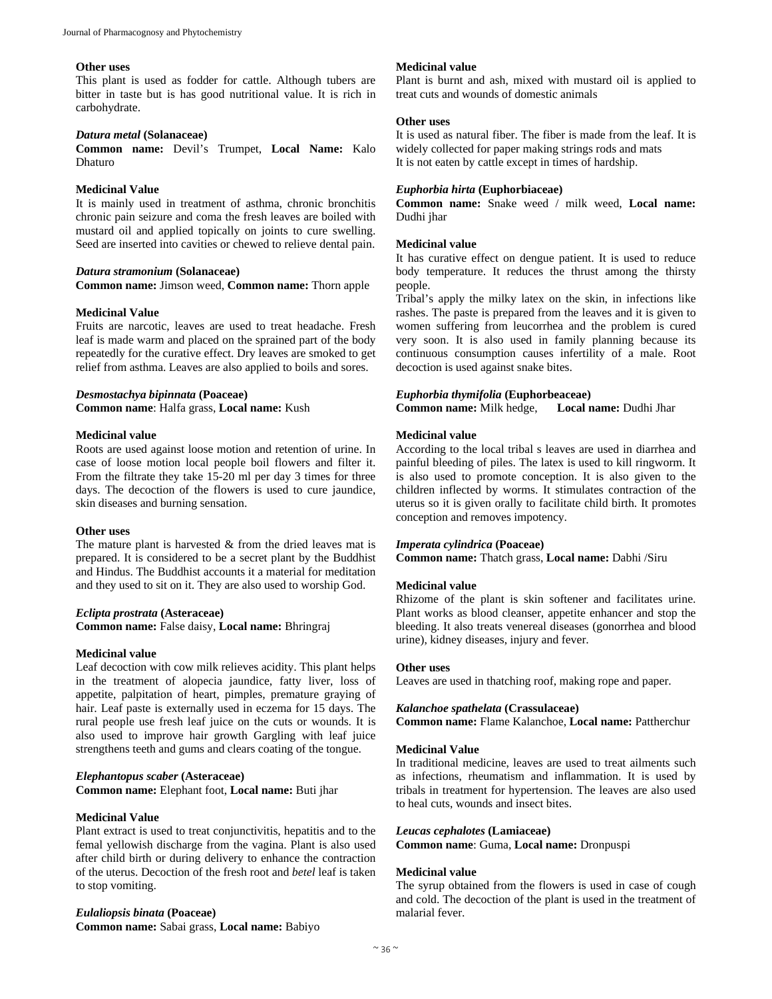#### **Other uses**

This plant is used as fodder for cattle. Although tubers are bitter in taste but is has good nutritional value. It is rich in carbohydrate.

#### *Datura metal* **(Solanaceae)**

**Common name:** Devil's Trumpet, **Local Name:** Kalo Dhaturo

#### **Medicinal Value**

It is mainly used in treatment of asthma, chronic bronchitis chronic pain seizure and coma the fresh leaves are boiled with mustard oil and applied topically on joints to cure swelling. Seed are inserted into cavities or chewed to relieve dental pain.

#### *Datura stramonium* **(Solanaceae)**

**Common name:** Jimson weed, **Common name:** Thorn apple

#### **Medicinal Value**

Fruits are narcotic, leaves are used to treat headache. Fresh leaf is made warm and placed on the sprained part of the body repeatedly for the curative effect. Dry leaves are smoked to get relief from asthma. Leaves are also applied to boils and sores.

#### *Desmostachya bipinnata* **(Poaceae)**

**Common name**: Halfa grass, **Local name:** Kush

#### **Medicinal value**

Roots are used against loose motion and retention of urine. In case of loose motion local people boil flowers and filter it. From the filtrate they take 15-20 ml per day 3 times for three days. The decoction of the flowers is used to cure jaundice, skin diseases and burning sensation.

#### **Other uses**

The mature plant is harvested & from the dried leaves mat is prepared. It is considered to be a secret plant by the Buddhist and Hindus. The Buddhist accounts it a material for meditation and they used to sit on it. They are also used to worship God.

#### *Eclipta prostrata* **(Asteraceae)**

**Common name:** False daisy, **Local name:** Bhringraj

# **Medicinal value**

Leaf decoction with cow milk relieves acidity. This plant helps in the treatment of alopecia jaundice, fatty liver, loss of appetite, palpitation of heart, pimples, premature graying of hair. Leaf paste is externally used in eczema for 15 days. The rural people use fresh leaf juice on the cuts or wounds. It is also used to improve hair growth Gargling with leaf juice strengthens teeth and gums and clears coating of the tongue.

#### *Elephantopus scaber* **(Asteraceae)**

**Common name:** Elephant foot, **Local name:** Buti jhar

#### **Medicinal Value**

Plant extract is used to treat conjunctivitis, hepatitis and to the femal yellowish discharge from the vagina. Plant is also used after child birth or during delivery to enhance the contraction of the uterus. Decoction of the fresh root and *betel* leaf is taken to stop vomiting.

# *Eulaliopsis binata* **(Poaceae)**

**Common name:** Sabai grass, **Local name:** Babiyo

#### **Medicinal value**

Plant is burnt and ash, mixed with mustard oil is applied to treat cuts and wounds of domestic animals

#### **Other uses**

It is used as natural fiber. The fiber is made from the leaf. It is widely collected for paper making strings rods and mats It is not eaten by cattle except in times of hardship.

# *Euphorbia hirta* **(Euphorbiaceae)**

**Common name:** Snake weed / milk weed, **Local name:**  Dudhi jhar

#### **Medicinal value**

It has curative effect on dengue patient. It is used to reduce body temperature. It reduces the thrust among the thirsty people.

Tribal's apply the milky latex on the skin, in infections like rashes. The paste is prepared from the leaves and it is given to women suffering from leucorrhea and the problem is cured very soon. It is also used in family planning because its continuous consumption causes infertility of a male. Root decoction is used against snake bites.

# *Euphorbia thymifolia* **(Euphorbeaceae)**

**Common name:** Milk hedge, **Local name:** Dudhi Jhar

#### **Medicinal value**

According to the local tribal s leaves are used in diarrhea and painful bleeding of piles. The latex is used to kill ringworm. It is also used to promote conception. It is also given to the children inflected by worms. It stimulates contraction of the uterus so it is given orally to facilitate child birth. It promotes conception and removes impotency.

#### *Imperata cylindrica* **(Poaceae)**

**Common name:** Thatch grass, **Local name:** Dabhi /Siru

#### **Medicinal value**

Rhizome of the plant is skin softener and facilitates urine. Plant works as blood cleanser, appetite enhancer and stop the bleeding. It also treats venereal diseases (gonorrhea and blood urine), kidney diseases, injury and fever.

#### **Other uses**

Leaves are used in thatching roof, making rope and paper.

#### *Kalanchoe spathelata* **(Crassulaceae)**

**Common name:** Flame Kalanchoe, **Local name:** Pattherchur

#### **Medicinal Value**

In traditional medicine, leaves are used to treat ailments such as infections, rheumatism and inflammation. It is used by tribals in treatment for hypertension. The leaves are also used to heal cuts, wounds and insect bites.

#### *Leucas cephalotes* **(Lamiaceae)**

**Common name**: Guma, **Local name:** Dronpuspi

#### **Medicinal value**

The syrup obtained from the flowers is used in case of cough and cold. The decoction of the plant is used in the treatment of malarial fever.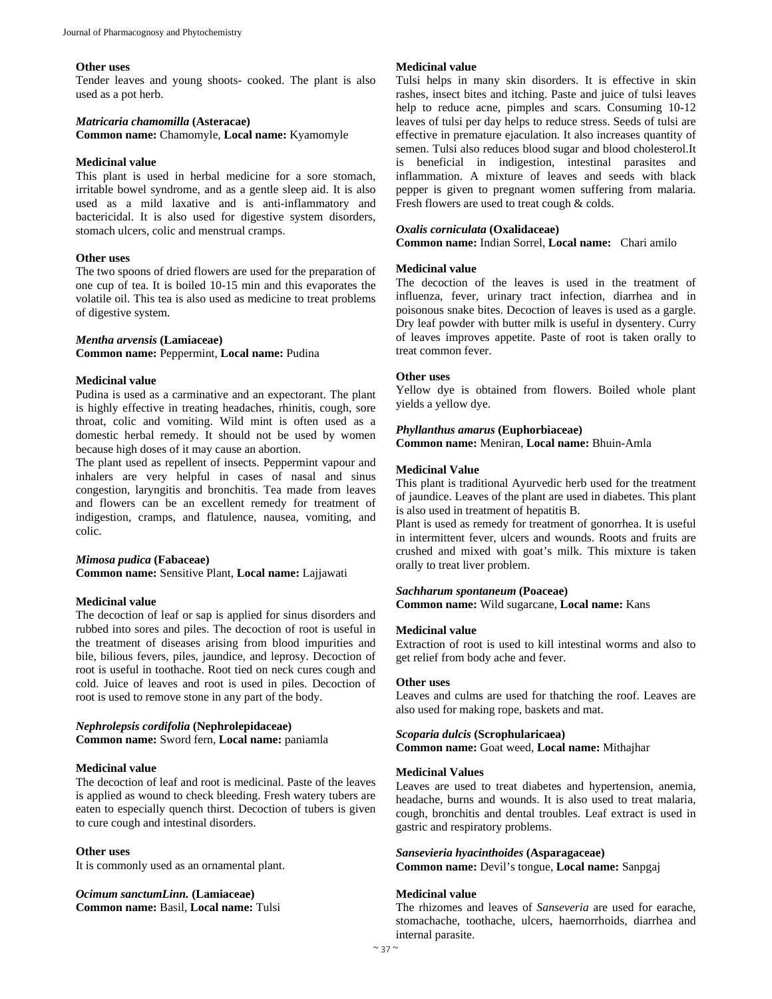#### **Other uses**

Tender leaves and young shoots- cooked. The plant is also used as a pot herb.

#### *Matricaria chamomilla* **(Asteracae)**

**Common name:** Chamomyle, **Local name:** Kyamomyle

#### **Medicinal value**

This plant is used in herbal medicine for a sore stomach, irritable bowel syndrome, and as a gentle sleep aid. It is also used as a mild laxative and is anti-inflammatory and bactericidal. It is also used for digestive system disorders, stomach ulcers, colic and menstrual cramps.

#### **Other uses**

The two spoons of dried flowers are used for the preparation of one cup of tea. It is boiled 10-15 min and this evaporates the volatile oil. This tea is also used as medicine to treat problems of digestive system.

# *Mentha arvensis* **(Lamiaceae)**

# **Common name:** Peppermint, **Local name:** Pudina

# **Medicinal value**

Pudina is used as a carminative and an expectorant. The plant is highly effective in treating headaches, rhinitis, cough, sore throat, colic and vomiting. Wild mint is often used as a domestic herbal remedy. It should not be used by women because high doses of it may cause an abortion.

The plant used as repellent of insects. Peppermint vapour and inhalers are very helpful in cases of nasal and sinus congestion, laryngitis and bronchitis. Tea made from leaves and flowers can be an excellent remedy for treatment of indigestion, cramps, and flatulence, nausea, vomiting, and colic.

#### *Mimosa pudica* **(Fabaceae)**

**Common name:** Sensitive Plant, **Local name:** Lajjawati

### **Medicinal value**

The decoction of leaf or sap is applied for sinus disorders and rubbed into sores and piles. The decoction of root is useful in the treatment of diseases arising from blood impurities and bile, bilious fevers, piles, jaundice, and leprosy. Decoction of root is useful in toothache. Root tied on neck cures cough and cold. Juice of leaves and root is used in piles. Decoction of root is used to remove stone in any part of the body.

# *Nephrolepsis cordifolia* **(Nephrolepidaceae)**

**Common name:** Sword fern, **Local name:** paniamla

# **Medicinal value**

The decoction of leaf and root is medicinal. Paste of the leaves is applied as wound to check bleeding. Fresh watery tubers are eaten to especially quench thirst. Decoction of tubers is given to cure cough and intestinal disorders.

#### **Other uses**

It is commonly used as an ornamental plant.

# *Ocimum sanctumLinn.* **(Lamiaceae) Common name:** Basil, **Local name:** Tulsi

#### **Medicinal value**

Tulsi helps in many skin disorders. It is effective in skin rashes, insect bites and itching. Paste and juice of tulsi leaves help to reduce acne, pimples and scars. Consuming 10-12 leaves of tulsi per day helps to reduce stress. Seeds of tulsi are effective in premature ejaculation. It also increases quantity of semen. Tulsi also reduces blood sugar and blood cholesterol.It is beneficial in indigestion, intestinal parasites and inflammation. A mixture of leaves and seeds with black pepper is given to pregnant women suffering from malaria. Fresh flowers are used to treat cough & colds.

#### *Oxalis corniculata* **(Oxalidaceae)**

**Common name:** Indian Sorrel, **Local name:** Chari amilo

#### **Medicinal value**

The decoction of the leaves is used in the treatment of influenza, fever, urinary tract infection, diarrhea and in poisonous snake bites. Decoction of leaves is used as a gargle. Dry leaf powder with butter milk is useful in dysentery. Curry of leaves improves appetite. Paste of root is taken orally to treat common fever.

# **Other uses**

Yellow dye is obtained from flowers. Boiled whole plant yields a yellow dye.

# *Phyllanthus amarus* **(Euphorbiaceae) Common name:** Meniran, **Local name:** Bhuin-Amla

#### **Medicinal Value**

This plant is traditional Ayurvedic herb used for the treatment of jaundice. Leaves of the plant are used in diabetes. This plant is also used in treatment of hepatitis B.

Plant is used as remedy for treatment of gonorrhea. It is useful in intermittent fever, ulcers and wounds. Roots and fruits are crushed and mixed with goat's milk. This mixture is taken orally to treat liver problem.

#### *Sachharum spontaneum* **(Poaceae)**

**Common name:** Wild sugarcane, **Local name:** Kans

#### **Medicinal value**

Extraction of root is used to kill intestinal worms and also to get relief from body ache and fever.

#### **Other uses**

Leaves and culms are used for thatching the roof. Leaves are also used for making rope, baskets and mat.

#### *Scoparia dulcis* **(Scrophularicaea)**

**Common name:** Goat weed, **Local name:** Mithajhar

#### **Medicinal Values**

Leaves are used to treat diabetes and hypertension, anemia, headache, burns and wounds. It is also used to treat malaria, cough, bronchitis and dental troubles. Leaf extract is used in gastric and respiratory problems.

*Sansevieria hyacinthoides* **(Asparagaceae) Common name:** Devil's tongue, **Local name:** Sanpgaj

#### **Medicinal value**

The rhizomes and leaves of *Sanseveria* are used for earache, stomachache, toothache, ulcers, haemorrhoids, diarrhea and internal parasite.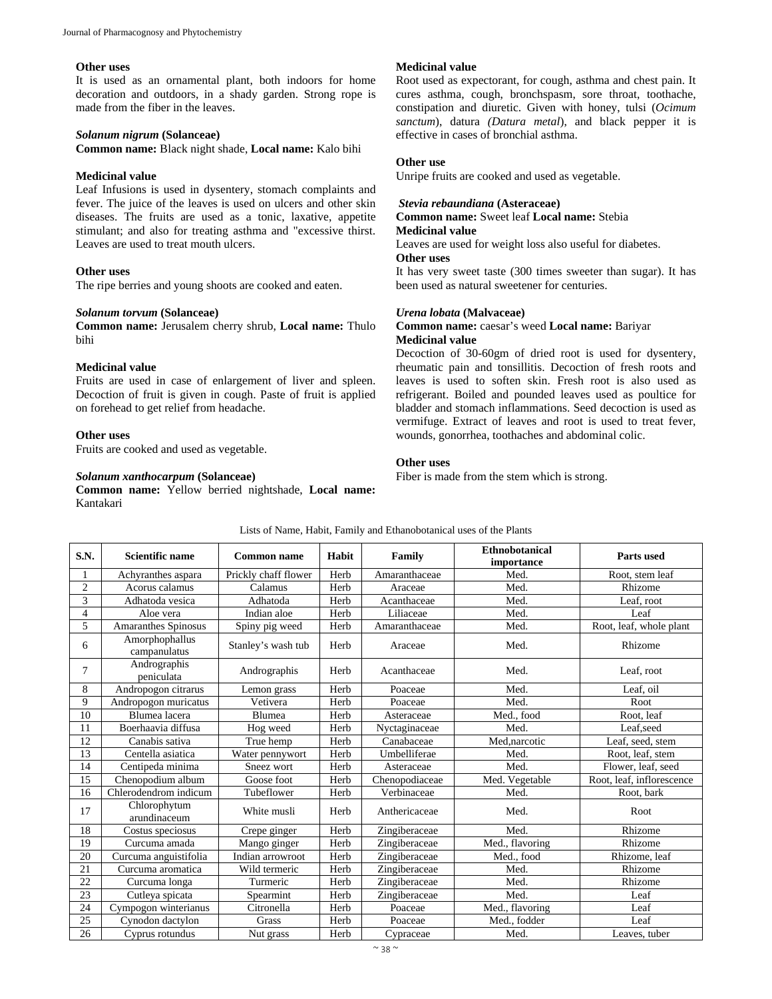#### **Other uses**

It is used as an ornamental plant, both indoors for home decoration and outdoors, in a shady garden. Strong rope is made from the fiber in the leaves.

#### *Solanum nigrum* **(Solanceae)**

**Common name:** Black night shade, **Local name:** Kalo bihi

#### **Medicinal value**

Leaf Infusions is used in dysentery, stomach complaints and fever. The juice of the leaves is used on ulcers and other skin diseases. The fruits are used as a tonic, laxative, appetite stimulant; and also for treating asthma and "excessive thirst. Leaves are used to treat mouth ulcers.

#### **Other uses**

The ripe berries and young shoots are cooked and eaten.

#### *Solanum torvum* **(Solanceae)**

**Common name:** Jerusalem cherry shrub, **Local name:** Thulo bihi

# **Medicinal value**

Fruits are used in case of enlargement of liver and spleen. Decoction of fruit is given in cough. Paste of fruit is applied on forehead to get relief from headache.

#### **Other uses**

Fruits are cooked and used as vegetable.

### *Solanum xanthocarpum* **(Solanceae)**

**Common name:** Yellow berried nightshade, **Local name:**  Kantakari

#### **Medicinal value**

Root used as expectorant, for cough, asthma and chest pain. It cures asthma, cough, bronchspasm, sore throat, toothache, constipation and diuretic. Given with honey, tulsi (*Ocimum sanctum*), datura *(Datura metal*), and black pepper it is effective in cases of bronchial asthma.

#### **Other use**

Unripe fruits are cooked and used as vegetable.

#### *Stevia rebaundiana* **(Asteraceae)**

**Common name:** Sweet leaf **Local name:** Stebia **Medicinal value** 

Leaves are used for weight loss also useful for diabetes.

### **Other uses**

It has very sweet taste (300 times sweeter than sugar). It has been used as natural sweetener for centuries.

#### *Urena lobata* **(Malvaceae)**

**Common name:** caesar's weed **Local name:** Bariyar **Medicinal value**

Decoction of 30-60gm of dried root is used for dysentery, rheumatic pain and tonsillitis. Decoction of fresh roots and leaves is used to soften skin. Fresh root is also used as refrigerant. Boiled and pounded leaves used as poultice for bladder and stomach inflammations. Seed decoction is used as vermifuge. Extract of leaves and root is used to treat fever, wounds, gonorrhea, toothaches and abdominal colic.

#### **Other uses**

Fiber is made from the stem which is strong.

| S.N.           | <b>Scientific name</b>         | <b>Common name</b>   | Habit | Family         | <b>Ethnobotanical</b><br>importance | <b>Parts used</b>         |
|----------------|--------------------------------|----------------------|-------|----------------|-------------------------------------|---------------------------|
|                | Achyranthes aspara             | Prickly chaff flower | Herb  | Amaranthaceae  | Med.                                | Root, stem leaf           |
| $\overline{c}$ | Acorus calamus                 | Calamus              | Herb  | Araceae        | Med.                                | Rhizome                   |
| 3              | Adhatoda vesica                | Adhatoda             | Herb  | Acanthaceae    | Med.                                | Leaf, root                |
| 4              | Aloe vera                      | Indian aloe          | Herb  | Liliaceae      | Med.                                | Leaf                      |
| 5              | Amaranthes Spinosus            | Spiny pig weed       | Herb  | Amaranthaceae  | Med.                                | Root, leaf, whole plant   |
| 6              | Amorphophallus<br>campanulatus | Stanley's wash tub   | Herb  | Araceae        | Med.                                | Rhizome                   |
| 7              | Andrographis<br>peniculata     | Andrographis         | Herb  | Acanthaceae    | Med.                                | Leaf, root                |
| 8              | Andropogon citrarus            | Lemon grass          | Herb  | Poaceae        | Med.                                | Leaf, oil                 |
| 9              | Andropogon muricatus           | Vetivera             | Herb  | Poaceae        | Med.                                | Root                      |
| 10             | Blumea lacera                  | Blumea               | Herb  | Asteraceae     | Med., food                          | Root, leaf                |
| 11             | Boerhaavia diffusa             | Hog weed             | Herb  | Nyctaginaceae  | Med.                                | Leaf.seed                 |
| 12             | Canabis sativa                 | True hemp            | Herb  | Canabaceae     | Med.narcotic                        | Leaf, seed, stem          |
| 13             | Centella asiatica              | Water pennywort      | Herb  | Umbelliferae   | Med.                                | Root, leaf, stem          |
| 14             | Centipeda minima               | Sneez wort           | Herb  | Asteraceae     | Med.                                | Flower, leaf, seed        |
| 15             | Chenopodium album              | Goose foot           | Herb  | Chenopodiaceae | Med. Vegetable                      | Root, leaf, inflorescence |
| 16             | Chlerodendrom indicum          | Tubeflower           | Herb  | Verbinaceae    | Med.                                | Root, bark                |
| 17             | Chlorophytum<br>arundinaceum   | White musli          | Herb  | Anthericaceae  | Med.                                | Root                      |
| 18             | Costus speciosus               | Crepe ginger         | Herb  | Zingiberaceae  | Med.                                | Rhizome                   |
| 19             | Curcuma amada                  | Mango ginger         | Herb  | Zingiberaceae  | Med., flavoring                     | Rhizome                   |
| 20             | Curcuma anguistifolia          | Indian arrowroot     | Herb  | Zingiberaceae  | Med., food                          | Rhizome, leaf             |
| 21             | Curcuma aromatica              | Wild termeric        | Herb  | Zingiberaceae  | Med.                                | Rhizome                   |
| 22             | Curcuma longa                  | Turmeric             | Herb  | Zingiberaceae  | Med.                                | Rhizome                   |
| 23             | Cutleya spicata                | Spearmint            | Herb  | Zingiberaceae  | Med.                                | Leaf                      |
| 24             | Cympogon winterianus           | Citronella           | Herb  | Poaceae        | Med., flavoring                     | Leaf                      |
| 25             | Cynodon dactylon               | Grass                | Herb  | Poaceae        | Med., fodder                        | Leaf                      |
| 26             | Cyprus rotundus                | Nut grass            | Herb  | Cypraceae      | Med.                                | Leaves, tuber             |

Lists of Name, Habit, Family and Ethanobotanical uses of the Plants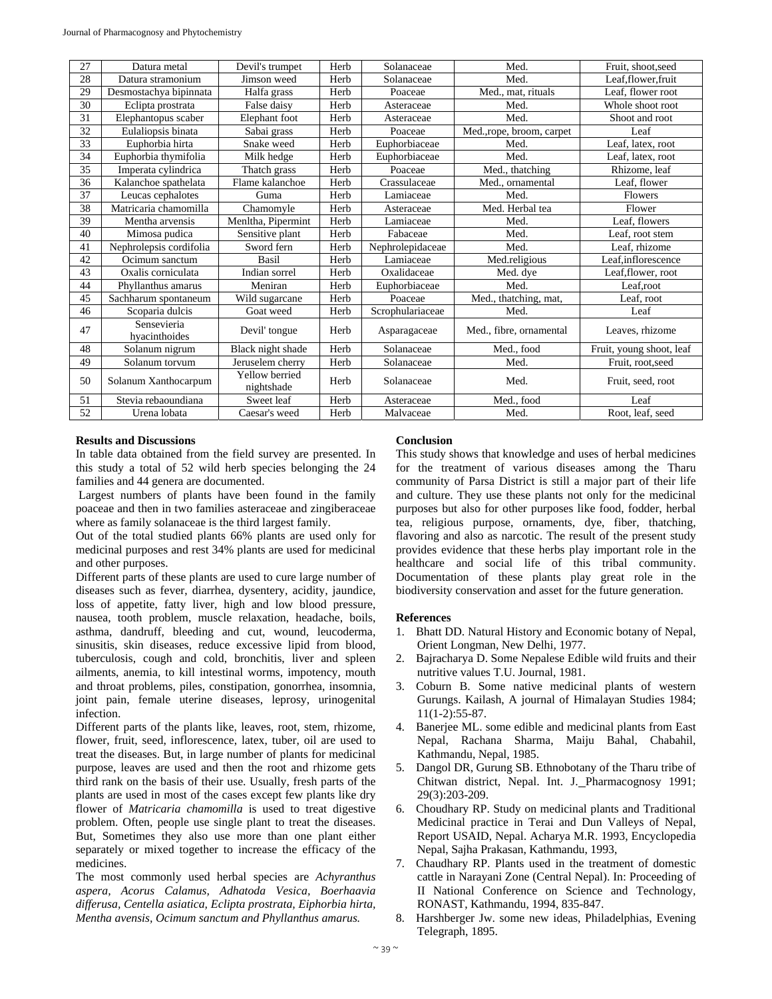| 27 | Datura metal                 | Devil's trumpet              | Herb | Solanaceae       | Med.                     | Fruit, shoot, seed       |
|----|------------------------------|------------------------------|------|------------------|--------------------------|--------------------------|
| 28 | Datura stramonium            | Jimson weed                  | Herb | Solanaceae       | Med.                     | Leaf, flower, fruit      |
| 29 | Desmostachya bipinnata       | Halfa grass                  | Herb | Poaceae          | Med., mat, rituals       | Leaf, flower root        |
| 30 | Eclipta prostrata            | False daisy                  | Herb | Asteraceae       | Med.                     | Whole shoot root         |
| 31 | Elephantopus scaber          | Elephant foot                | Herb | Asteraceae       | Med.                     | Shoot and root           |
| 32 | Eulaliopsis binata           | Sabai grass                  | Herb | Poaceae          | Med.,rope, broom, carpet | Leaf                     |
| 33 | Euphorbia hirta              | Snake weed                   | Herb | Euphorbiaceae    | Med.                     | Leaf, latex, root        |
| 34 | Euphorbia thymifolia         | Milk hedge                   | Herb | Euphorbiaceae    | Med.                     | Leaf, latex, root        |
| 35 | Imperata cylindrica          | Thatch grass                 | Herb | Poaceae          | Med., thatching          | Rhizome, leaf            |
| 36 | Kalanchoe spathelata         | Flame kalanchoe              | Herb | Crassulaceae     | Med., ornamental         | Leaf, flower             |
| 37 | Leucas cephalotes            | Guma                         | Herb | Lamiaceae        | Med.                     | Flowers                  |
| 38 | Matricaria chamomilla        | Chamomyle                    | Herb | Asteraceae       | Med. Herbal tea          | Flower                   |
| 39 | Mentha arvensis              | Menltha, Pipermint           | Herb | Lamiaceae        | Med.                     | Leaf, flowers            |
| 40 | Mimosa pudica                | Sensitive plant              | Herb | Fabaceae         | Med.                     | Leaf, root stem          |
| 41 | Nephrolepsis cordifolia      | Sword fern                   | Herb | Nephrolepidaceae | Med.                     | Leaf, rhizome            |
| 42 | Ocimum sanctum               | <b>Basil</b>                 | Herb | Lamiaceae        | Med.religious            | Leaf.inflorescence       |
| 43 | Oxalis corniculata           | Indian sorrel                | Herb | Oxalidaceae      | Med. dye                 | Leaf, flower, root       |
| 44 | Phyllanthus amarus           | Meniran                      | Herb | Euphorbiaceae    | Med.                     | Leaf, root               |
| 45 | Sachharum spontaneum         | Wild sugarcane               | Herb | Poaceae          | Med., thatching, mat,    | Leaf, root               |
| 46 | Scoparia dulcis              | Goat weed                    | Herb | Scrophulariaceae | Med.                     | Leaf                     |
| 47 | Sensevieria<br>hyacinthoides | Devil' tongue                | Herb | Asparagaceae     | Med., fibre, ornamental  | Leaves, rhizome          |
| 48 | Solanum nigrum               | Black night shade            | Herb | Solanaceae       | Med., food               | Fruit, young shoot, leaf |
| 49 | Solanum torvum               | Jeruselem cherry             | Herb | Solanaceae       | Med.                     | Fruit, root, seed        |
| 50 | Solanum Xanthocarpum         | Yellow berried<br>nightshade | Herb | Solanaceae       | Med.                     | Fruit, seed, root        |
| 51 | Stevia rebaoundiana          | Sweet leaf                   | Herb | Asteraceae       | Med., food               | Leaf                     |
| 52 | Urena lobata                 | Caesar's weed                | Herb | Malvaceae        | Med.                     | Root, leaf, seed         |

#### **Results and Discussions**

In table data obtained from the field survey are presented. In this study a total of 52 wild herb species belonging the 24 families and 44 genera are documented.

 Largest numbers of plants have been found in the family poaceae and then in two families asteraceae and zingiberaceae where as family solanaceae is the third largest family.

Out of the total studied plants 66% plants are used only for medicinal purposes and rest 34% plants are used for medicinal and other purposes.

Different parts of these plants are used to cure large number of diseases such as fever, diarrhea, dysentery, acidity, jaundice, loss of appetite, fatty liver, high and low blood pressure, nausea, tooth problem, muscle relaxation, headache, boils, asthma, dandruff, bleeding and cut, wound, leucoderma, sinusitis, skin diseases, reduce excessive lipid from blood, tuberculosis, cough and cold, bronchitis, liver and spleen ailments, anemia, to kill intestinal worms, impotency, mouth and throat problems, piles, constipation, gonorrhea, insomnia, joint pain, female uterine diseases, leprosy, urinogenital infection.

Different parts of the plants like, leaves, root, stem, rhizome, flower, fruit, seed, inflorescence, latex, tuber, oil are used to treat the diseases. But, in large number of plants for medicinal purpose, leaves are used and then the root and rhizome gets third rank on the basis of their use. Usually, fresh parts of the plants are used in most of the cases except few plants like dry flower of *Matricaria chamomilla* is used to treat digestive problem. Often, people use single plant to treat the diseases. But, Sometimes they also use more than one plant either separately or mixed together to increase the efficacy of the medicines.

The most commonly used herbal species are *Achyranthus aspera, Acorus Calamus, Adhatoda Vesica, Boerhaavia differusa, Centella asiatica, Eclipta prostrata, Eiphorbia hirta, Mentha avensis, Ocimum sanctum and Phyllanthus amarus.* 

# **Conclusion**

This study shows that knowledge and uses of herbal medicines for the treatment of various diseases among the Tharu community of Parsa District is still a major part of their life and culture. They use these plants not only for the medicinal purposes but also for other purposes like food, fodder, herbal tea, religious purpose, ornaments, dye, fiber, thatching, flavoring and also as narcotic. The result of the present study provides evidence that these herbs play important role in the healthcare and social life of this tribal community. Documentation of these plants play great role in the biodiversity conservation and asset for the future generation.

# **References**

- 1. Bhatt DD. Natural History and Economic botany of Nepal, Orient Longman, New Delhi, 1977.
- 2. Bajracharya D. Some Nepalese Edible wild fruits and their nutritive values T.U. Journal, 1981.
- 3. Coburn B. Some native medicinal plants of western Gurungs. Kailash, A journal of Himalayan Studies 1984; 11(1-2):55-87.
- 4. Banerjee ML. some edible and medicinal plants from East Nepal, Rachana Sharma, Maiju Bahal, Chabahil, Kathmandu, Nepal, 1985.
- 5. Dangol DR, Gurung SB. Ethnobotany of the Tharu tribe of Chitwan district, Nepal. Int. J. Pharmacognosy 1991; 29(3):203-209.
- 6. Choudhary RP. Study on medicinal plants and Traditional Medicinal practice in Terai and Dun Valleys of Nepal, Report USAID, Nepal. Acharya M.R. 1993, Encyclopedia Nepal, Sajha Prakasan, Kathmandu, 1993,
- 7. Chaudhary RP. Plants used in the treatment of domestic cattle in Narayani Zone (Central Nepal). In: Proceeding of II National Conference on Science and Technology*,*  RONAST, Kathmandu, 1994, 835-847.
- 8. Harshberger Jw. some new ideas, Philadelphias, Evening Telegraph, 1895.